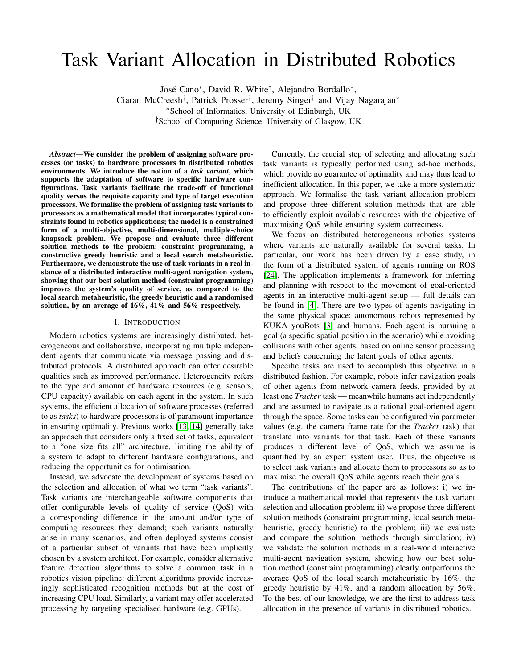# Task Variant Allocation in Distributed Robotics

José Cano\*, David R. White<sup>†</sup>, Alejandro Bordallo\*,

Ciaran McCreesh<sup>†</sup>, Patrick Prosser<sup>†</sup>, Jeremy Singer<sup>†</sup> and Vijay Nagarajan<sup>∗</sup>

<sup>∗</sup>School of Informatics, University of Edinburgh, UK

†School of Computing Science, University of Glasgow, UK

*Abstract*—We consider the problem of assigning software processes (or tasks) to hardware processors in distributed robotics environments. We introduce the notion of a *task variant*, which supports the adaptation of software to specific hardware configurations. Task variants facilitate the trade-off of functional quality versus the requisite capacity and type of target execution processors. We formalise the problem of assigning task variants to processors as a mathematical model that incorporates typical constraints found in robotics applications; the model is a constrained form of a multi-objective, multi-dimensional, multiple-choice knapsack problem. We propose and evaluate three different solution methods to the problem: constraint programming, a constructive greedy heuristic and a local search metaheuristic. Furthermore, we demonstrate the use of task variants in a real instance of a distributed interactive multi-agent navigation system, showing that our best solution method (constraint programming) improves the system's quality of service, as compared to the local search metaheuristic, the greedy heuristic and a randomised solution, by an average of 16%, 41% and 56% respectively.

## I. INTRODUCTION

Modern robotics systems are increasingly distributed, heterogeneous and collaborative, incorporating multiple independent agents that communicate via message passing and distributed protocols. A distributed approach can offer desirable qualities such as improved performance. Heterogeneity refers to the type and amount of hardware resources (e.g. sensors, CPU capacity) available on each agent in the system. In such systems, the efficient allocation of software processes (referred to as *tasks*) to hardware processors is of paramount importance in ensuring optimality. Previous works [\[13,](#page-8-0) [14\]](#page-8-1) generally take an approach that considers only a fixed set of tasks, equivalent to a "one size fits all" architecture, limiting the ability of a system to adapt to different hardware configurations, and reducing the opportunities for optimisation.

Instead, we advocate the development of systems based on the selection and allocation of what we term "task variants". Task variants are interchangeable software components that offer configurable levels of quality of service (QoS) with a corresponding difference in the amount and/or type of computing resources they demand; such variants naturally arise in many scenarios, and often deployed systems consist of a particular subset of variants that have been implicitly chosen by a system architect. For example, consider alternative feature detection algorithms to solve a common task in a robotics vision pipeline: different algorithms provide increasingly sophisticated recognition methods but at the cost of increasing CPU load. Similarly, a variant may offer accelerated processing by targeting specialised hardware (e.g. GPUs).

Currently, the crucial step of selecting and allocating such task variants is typically performed using ad-hoc methods, which provide no guarantee of optimality and may thus lead to inefficient allocation. In this paper, we take a more systematic approach. We formalise the task variant allocation problem and propose three different solution methods that are able to efficiently exploit available resources with the objective of maximising QoS while ensuring system correctness.

We focus on distributed heterogeneous robotics systems where variants are naturally available for several tasks. In particular, our work has been driven by a case study, in the form of a distributed system of agents running on ROS [\[24\]](#page-8-2). The application implements a framework for inferring and planning with respect to the movement of goal-oriented agents in an interactive multi-agent setup — full details can be found in [\[4\]](#page-8-3). There are two types of agents navigating in the same physical space: autonomous robots represented by KUKA youBots [\[3\]](#page-8-4) and humans. Each agent is pursuing a goal (a specific spatial position in the scenario) while avoiding collisions with other agents, based on online sensor processing and beliefs concerning the latent goals of other agents.

Specific tasks are used to accomplish this objective in a distributed fashion. For example, robots infer navigation goals of other agents from network camera feeds, provided by at least one *Tracker* task — meanwhile humans act independently and are assumed to navigate as a rational goal-oriented agent through the space. Some tasks can be configured via parameter values (e.g. the camera frame rate for the *Tracker* task) that translate into variants for that task. Each of these variants produces a different level of QoS, which we assume is quantified by an expert system user. Thus, the objective is to select task variants and allocate them to processors so as to maximise the overall OoS while agents reach their goals.

The contributions of the paper are as follows: i) we introduce a mathematical model that represents the task variant selection and allocation problem; ii) we propose three different solution methods (constraint programming, local search metaheuristic, greedy heuristic) to the problem; iii) we evaluate and compare the solution methods through simulation; iv) we validate the solution methods in a real-world interactive multi-agent navigation system, showing how our best solution method (constraint programming) clearly outperforms the average QoS of the local search metaheuristic by 16%, the greedy heuristic by 41%, and a random allocation by 56%. To the best of our knowledge, we are the first to address task allocation in the presence of variants in distributed robotics.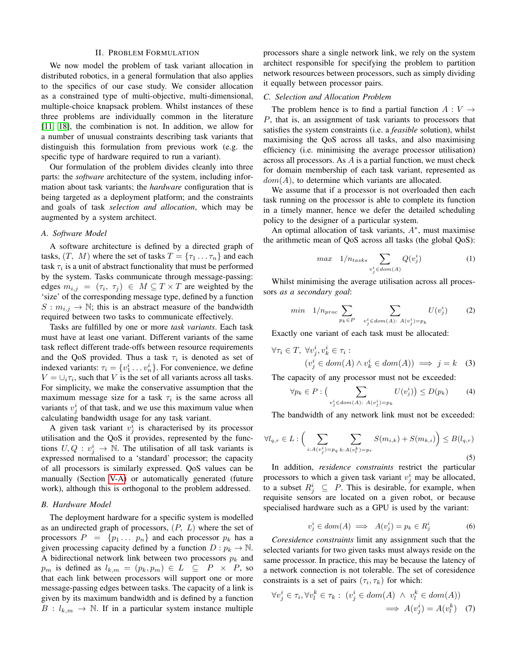## II. PROBLEM FORMULATION

<span id="page-1-5"></span>We now model the problem of task variant allocation in distributed robotics, in a general formulation that also applies to the specifics of our case study. We consider allocation as a constrained type of multi-objective, multi-dimensional, multiple-choice knapsack problem. Whilst instances of these three problems are individually common in the literature [\[11,](#page-8-5) [18\]](#page-8-6), the combination is not. In addition, we allow for a number of unusual constraints describing task variants that distinguish this formulation from previous work (e.g. the specific type of hardware required to run a variant).

Our formulation of the problem divides cleanly into three parts: the *software* architecture of the system, including information about task variants; the *hardware* configuration that is being targeted as a deployment platform; and the constraints and goals of task *selection and allocation*, which may be augmented by a system architect.

## <span id="page-1-2"></span>*A. Software Model*

A software architecture is defined by a directed graph of tasks,  $(T, M)$  where the set of tasks  $T = \{\tau_1 \dots \tau_n\}$  and each task  $\tau_i$  is a unit of abstract functionality that must be performed by the system. Tasks communicate through message-passing: edges  $m_{i,j} = (\tau_i, \tau_j) \in M \subseteq T \times T$  are weighted by the 'size' of the corresponding message type, defined by a function  $S: m_{i,j} \to \mathbb{N}$ ; this is an abstract measure of the bandwidth required between two tasks to communicate effectively.

Tasks are fulfilled by one or more *task variants*. Each task must have at least one variant. Different variants of the same task reflect different trade-offs between resource requirements and the QoS provided. Thus a task  $\tau_i$  is denoted as set of indexed variants:  $\tau_i = \{v_1^i \dots v_n^i\}$ . For convenience, we define  $V = \bigcup_i \tau_i$ , such that V is the set of all variants across all tasks. For simplicity, we make the conservative assumption that the maximum message size for a task  $\tau_i$  is the same across all variants  $v_j^i$  of that task, and we use this maximum value when calculating bandwidth usage for any task variant.

A given task variant  $v_j^i$  is characterised by its processor utilisation and the QoS it provides, represented by the functions  $U, Q : v_j^i \to \mathbb{N}$ . The utilisation of all task variants is expressed normalised to a 'standard' processor; the capacity of all processors is similarly expressed. QoS values can be manually (Section [V-A\)](#page-4-0) or automatically generated (future work), although this is orthogonal to the problem addressed.

# *B. Hardware Model*

The deployment hardware for a specific system is modelled as an undirected graph of processors,  $(P, L)$  where the set of processors  $P = \{p_1 \dots p_n\}$  and each processor  $p_k$  has a given processing capacity defined by a function  $D: p_k \to \mathbb{N}$ . A bidirectional network link between two processors  $p_k$  and  $p_m$  is defined as  $l_{k,m} = (p_k, p_m) \in L \subseteq P \times P$ , so that each link between processors will support one or more message-passing edges between tasks. The capacity of a link is given by its maximum bandwidth and is defined by a function  $B: l_{k,m} \rightarrow \mathbb{N}$ . If in a particular system instance multiple

processors share a single network link, we rely on the system architect responsible for specifying the problem to partition network resources between processors, such as simply dividing it equally between processor pairs.

### <span id="page-1-0"></span>*C. Selection and Allocation Problem*

The problem hence is to find a partial function  $A: V \rightarrow$ P, that is, an assignment of task variants to processors that satisfies the system constraints (i.e. a *feasible* solution), whilst maximising the QoS across all tasks, and also maximising efficiency (i.e. minimising the average processor utilisation) across all processors. As A is a partial function, we must check for domain membership of each task variant, represented as  $dom(A)$ , to determine which variants are allocated.

We assume that if a processor is not overloaded then each task running on the processor is able to complete its function in a timely manner, hence we defer the detailed scheduling policy to the designer of a particular system.

<span id="page-1-3"></span>An optimal allocation of task variants,  $A^*$ , must maximise the arithmetic mean of QoS across all tasks (the global QoS):

$$
max \quad 1/n_{tasks} \sum_{v_j^i \in dom(A)} Q(v_j^i) \tag{1}
$$

<span id="page-1-4"></span>Whilst minimising the average utilisation across all processors *as a secondary goal*:

$$
min \quad 1/n_{proc} \sum_{p_k \in P} \sum_{v_j^i \in dom(A): A(v_j^i) = p_k} U(v_j^i) \tag{2}
$$

Exactly one variant of each task must be allocated:

$$
\forall \tau_i \in T, \ \forall v_j^i, v_k^i \in \tau_i : \\
(v_j^i \in dom(A) \land v_k^i \in dom(A)) \implies j = k \quad (3)
$$

The capacity of any processor must not be exceeded:

<span id="page-1-1"></span>
$$
\forall p_k \in P : \left( \sum_{v_j^i \in dom(A) : A(v_j^i) = p_k} U(v_j^i) \right) \le D(p_k) \tag{4}
$$

The bandwidth of any network link must not be exceeded:

$$
\forall l_{q,r} \in L: \left( \sum_{i: A(v_j^i) = p_q} \sum_{k: A(v_l^k) = p_r} S(m_{i,k}) + S(m_{k,i}) \right) \le B(l_{q,r})
$$
\n(5)

In addition, *residence constraints* restrict the particular processors to which a given task variant  $v_j^i$  may be allocated, to a subset  $R_j^i \subseteq P$ . This is desirable, for example, when requisite sensors are located on a given robot, or because specialised hardware such as a GPU is used by the variant:

$$
v_j^i \in dom(A) \implies A(v_j^i) = p_k \in R_j^i \tag{6}
$$

*Coresidence constraints* limit any assignment such that the selected variants for two given tasks must always reside on the same processor. In practice, this may be because the latency of a network connection is not tolerable. The set of coresidence constraints is a set of pairs  $(\tau_i, \tau_k)$  for which:

$$
\forall v_j^i \in \tau_i, \forall v_l^k \in \tau_k : (v_j^i \in dom(A) \land v_l^k \in dom(A))
$$
  

$$
\implies A(v_j^i) = A(v_l^k) \quad (7)
$$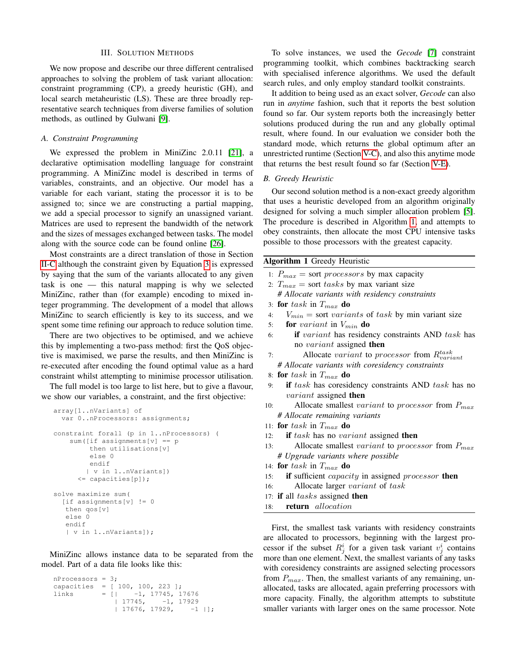## III. SOLUTION METHODS

We now propose and describe our three different centralised approaches to solving the problem of task variant allocation: constraint programming (CP), a greedy heuristic (GH), and local search metaheuristic (LS). These are three broadly representative search techniques from diverse families of solution methods, as outlined by Gulwani [\[9\]](#page-8-7).

# *A. Constraint Programming*

We expressed the problem in MiniZinc 2.0.11 [\[21\]](#page-8-8), a declarative optimisation modelling language for constraint programming. A MiniZinc model is described in terms of variables, constraints, and an objective. Our model has a variable for each variant, stating the processor it is to be assigned to; since we are constructing a partial mapping, we add a special processor to signify an unassigned variant. Matrices are used to represent the bandwidth of the network and the sizes of messages exchanged between tasks. The model along with the source code can be found online [\[26\]](#page-8-9).

Most constraints are a direct translation of those in Section [II-C](#page-1-0) although the constraint given by Equation [3](#page-1-1) is expressed by saying that the sum of the variants allocated to any given task is one — this natural mapping is why we selected MiniZinc, rather than (for example) encoding to mixed integer programming. The development of a model that allows MiniZinc to search efficiently is key to its success, and we spent some time refining our approach to reduce solution time.

There are two objectives to be optimised, and we achieve this by implementing a two-pass method: first the QoS objective is maximised, we parse the results, and then MiniZinc is re-executed after encoding the found optimal value as a hard constraint whilst attempting to minimise processor utilisation.

The full model is too large to list here, but to give a flavour, we show our variables, a constraint, and the first objective:

```
array[1..nVariants] of
 var 0..nProcessors: assignments;
constraint forall (p in 1..nProcessors) (
    sum([if assignments[v] == p
         then utilisations[v]
         else 0
         endif
        | v in 1..nVariants])
      <= capacities[p]);
solve maximize sum(
  [if assignments[v] != 0
  then qos[v]
   else 0
  endif
   | v in 1..nVariants]);
```
MiniZinc allows instance data to be separated from the model. Part of a data file looks like this:

```
nProcessors = 3;
capacities = [ 100, 100, 223 ];
links = [ -1, 17745, 17676
             | 17745, -1, 17929| 17676, 17929, -1 |];
```
To solve instances, we used the *Gecode* [\[7\]](#page-8-10) constraint programming toolkit, which combines backtracking search with specialised inference algorithms. We used the default search rules, and only employ standard toolkit constraints.

It addition to being used as an exact solver, *Gecode* can also run in *anytime* fashion, such that it reports the best solution found so far. Our system reports both the increasingly better solutions produced during the run and any globally optimal result, where found. In our evaluation we consider both the standard mode, which returns the global optimum after an unrestricted runtime (Section [V-C\)](#page-5-0), and also this anytime mode that returns the best result found so far (Section [V-E\)](#page-6-0).

# *B. Greedy Heuristic*

Our second solution method is a non-exact greedy algorithm that uses a heuristic developed from an algorithm originally designed for solving a much simpler allocation problem [\[5\]](#page-8-11). The procedure is described in Algorithm [1,](#page-2-0) and attempts to obey constraints, then allocate the most CPU intensive tasks possible to those processors with the greatest capacity.

## <span id="page-2-0"></span>Algorithm 1 Greedy Heuristic

- 1:  $P_{max}$  = sort *processors* by max capacity
- 2:  $T_{max}$  = sort tasks by max variant size
- *# Allocate variants with residency constraints*
- 3: for task in  $T_{max}$  do
- 4:  $V_{min}$  = sort *variants* of task by min variant size
- 5: for variant in  $V_{min}$  do
- 6: if variant has residency constraints AND task has no *variant* assigned then
- 7: Allocate *variant* to *processor* from  $R_{variant}^{task}$ *# Allocate variants with coresidency constraints*
- 8: for  $task$  in  $T_{max}$  do
- 9: if task has coresidency constraints AND task has no variant assigned then
- 10: Allocate smallest variant to processor from  $P_{max}$ *# Allocate remaining variants*
- 11: for task in  $T_{max}$  do
- 12: **if** task has no variant assigned then
- 13: Allocate smallest *variant* to *processor* from  $P_{max}$ *# Upgrade variants where possible*
- 14: for task in  $T_{max}$  do
- 15: **if** sufficient *capacity* in assigned *processor* then
- 16: Allocate larger variant of task
- 17: if all  $tasks$  assigned then
- 18: return allocation

First, the smallest task variants with residency constraints are allocated to processors, beginning with the largest processor if the subset  $R_j^i$  for a given task variant  $v_j^i$  contains more than one element. Next, the smallest variants of any tasks with coresidency constraints are assigned selecting processors from  $P_{max}$ . Then, the smallest variants of any remaining, unallocated, tasks are allocated, again preferring processors with more capacity. Finally, the algorithm attempts to substitute smaller variants with larger ones on the same processor. Note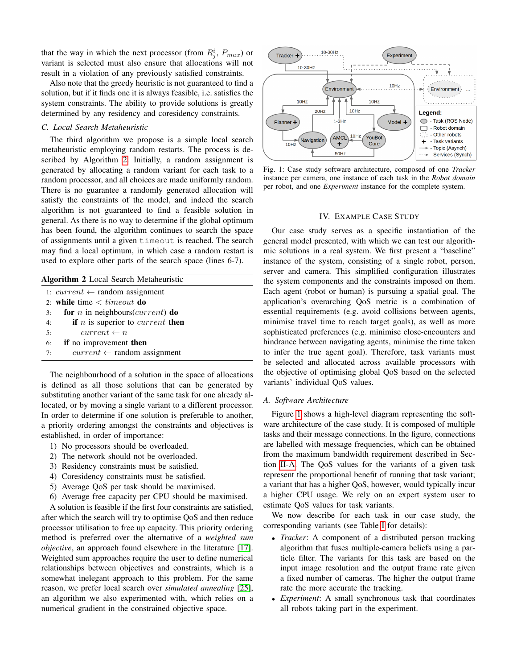that the way in which the next processor (from  $R_j^i$ ,  $P_{max}$ ) or variant is selected must also ensure that allocations will not result in a violation of any previously satisfied constraints.

Also note that the greedy heuristic is not guaranteed to find a solution, but if it finds one it is always feasible, i.e. satisfies the system constraints. The ability to provide solutions is greatly determined by any residency and coresidency constraints.

## *C. Local Search Metaheuristic*

The third algorithm we propose is a simple local search metaheuristic employing random restarts. The process is described by Algorithm [2.](#page-3-0) Initially, a random assignment is generated by allocating a random variant for each task to a random processor, and all choices are made uniformly random. There is no guarantee a randomly generated allocation will satisfy the constraints of the model, and indeed the search algorithm is not guaranteed to find a feasible solution in general. As there is no way to determine if the global optimum has been found, the algorithm continues to search the space of assignments until a given timeout is reached. The search may find a local optimum, in which case a random restart is used to explore other parts of the search space (lines 6-7).

<span id="page-3-0"></span>

| <b>Algorithm 2</b> Local Search Metaheuristic |                                                 |  |  |  |  |
|-----------------------------------------------|-------------------------------------------------|--|--|--|--|
|                                               | 1: $current \leftarrow random assignment$       |  |  |  |  |
|                                               | 2: while time $\langle$ time out do             |  |  |  |  |
| 3:                                            | for <i>n</i> in neighbours( <i>current</i> ) do |  |  |  |  |
| 4:                                            | if $n$ is superior to <i>current</i> then       |  |  |  |  |
| 5:                                            | $current \leftarrow n$                          |  |  |  |  |
| 6:                                            | if no improvement then                          |  |  |  |  |
| 7:                                            | $current \leftarrow random assignment$          |  |  |  |  |
|                                               |                                                 |  |  |  |  |

The neighbourhood of a solution in the space of allocations is defined as all those solutions that can be generated by substituting another variant of the same task for one already allocated, or by moving a single variant to a different processor. In order to determine if one solution is preferable to another, a priority ordering amongst the constraints and objectives is established, in order of importance:

- 1) No processors should be overloaded.
- 2) The network should not be overloaded.
- 3) Residency constraints must be satisfied.
- 4) Coresidency constraints must be satisfied.
- 5) Average QoS per task should be maximised.
- 6) Average free capacity per CPU should be maximised.

A solution is feasible if the first four constraints are satisfied, after which the search will try to optimise QoS and then reduce processor utilisation to free up capacity. This priority ordering method is preferred over the alternative of a *weighted sum objective*, an approach found elsewhere in the literature [\[17\]](#page-8-12). Weighted sum approaches require the user to define numerical relationships between objectives and constraints, which is a somewhat inelegant approach to this problem. For the same reason, we prefer local search over *simulated annealing* [\[25\]](#page-8-13), an algorithm we also experimented with, which relies on a numerical gradient in the constrained objective space.

<span id="page-3-1"></span>

Fig. 1: Case study software architecture, composed of one *Tracker* instance per camera, one instance of each task in the *Robot domain* per robot, and one *Experiment* instance for the complete system.

#### IV. EXAMPLE CASE STUDY

<span id="page-3-2"></span>Our case study serves as a specific instantiation of the general model presented, with which we can test our algorithmic solutions in a real system. We first present a "baseline" instance of the system, consisting of a single robot, person, server and camera. This simplified configuration illustrates the system components and the constraints imposed on them. Each agent (robot or human) is pursuing a spatial goal. The application's overarching QoS metric is a combination of essential requirements (e.g. avoid collisions between agents, minimise travel time to reach target goals), as well as more sophisticated preferences (e.g. minimise close-encounters and hindrance between navigating agents, minimise the time taken to infer the true agent goal). Therefore, task variants must be selected and allocated across available processors with the objective of optimising global QoS based on the selected variants' individual QoS values.

#### <span id="page-3-3"></span>*A. Software Architecture*

Figure [1](#page-3-1) shows a high-level diagram representing the software architecture of the case study. It is composed of multiple tasks and their message connections. In the figure, connections are labelled with message frequencies, which can be obtained from the maximum bandwidth requirement described in Section [II-A.](#page-1-2) The QoS values for the variants of a given task represent the proportional benefit of running that task variant; a variant that has a higher QoS, however, would typically incur a higher CPU usage. We rely on an expert system user to estimate QoS values for task variants.

We now describe for each task in our case study, the corresponding variants (see Table [I](#page-5-1) for details):

- *Tracker*: A component of a distributed person tracking algorithm that fuses multiple-camera beliefs using a particle filter. The variants for this task are based on the input image resolution and the output frame rate given a fixed number of cameras. The higher the output frame rate the more accurate the tracking.
- *Experiment*: A small synchronous task that coordinates all robots taking part in the experiment.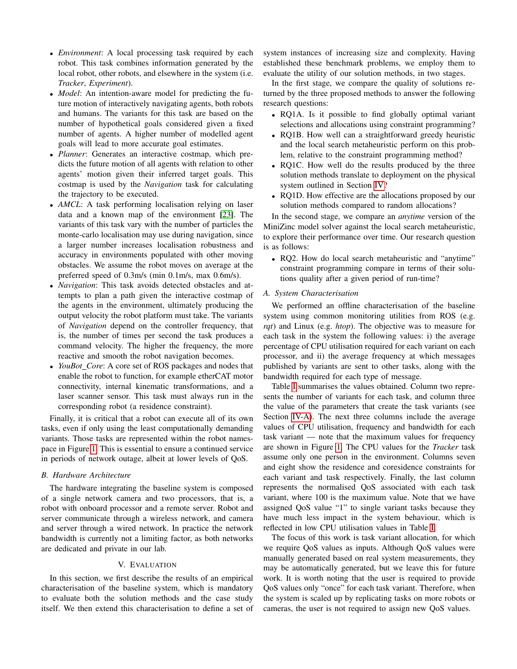- *Environment*: A local processing task required by each robot. This task combines information generated by the local robot, other robots, and elsewhere in the system (i.e. *Tracker*, *Experiment*).
- *Model*: An intention-aware model for predicting the future motion of interactively navigating agents, both robots and humans. The variants for this task are based on the number of hypothetical goals considered given a fixed number of agents. A higher number of modelled agent goals will lead to more accurate goal estimates.
- *Planner*: Generates an interactive costmap, which predicts the future motion of all agents with relation to other agents' motion given their inferred target goals. This costmap is used by the *Navigation* task for calculating the trajectory to be executed.
- *AMCL*: A task performing localisation relying on laser data and a known map of the environment [\[23\]](#page-8-14). The variants of this task vary with the number of particles the monte-carlo localisation may use during navigation, since a larger number increases localisation robustness and accuracy in environments populated with other moving obstacles. We assume the robot moves on average at the preferred speed of 0.3m/s (min 0.1m/s, max 0.6m/s).
- *Navigation*: This task avoids detected obstacles and attempts to plan a path given the interactive costmap of the agents in the environment, ultimately producing the output velocity the robot platform must take. The variants of *Navigation* depend on the controller frequency, that is, the number of times per second the task produces a command velocity. The higher the frequency, the more reactive and smooth the robot navigation becomes.
- *YouBot Core*: A core set of ROS packages and nodes that enable the robot to function, for example etherCAT motor connectivity, internal kinematic transformations, and a laser scanner sensor. This task must always run in the corresponding robot (a residence constraint).

Finally, it is critical that a robot can execute all of its own tasks, even if only using the least computationally demanding variants. Those tasks are represented within the robot namespace in Figure [1.](#page-3-1) This is essential to ensure a continued service in periods of network outage, albeit at lower levels of QoS.

# *B. Hardware Architecture*

The hardware integrating the baseline system is composed of a single network camera and two processors, that is, a robot with onboard processor and a remote server. Robot and server communicate through a wireless network, and camera and server through a wired network. In practice the network bandwidth is currently not a limiting factor, as both networks are dedicated and private in our lab.

# V. EVALUATION

In this section, we first describe the results of an empirical characterisation of the baseline system, which is mandatory to evaluate both the solution methods and the case study itself. We then extend this characterisation to define a set of system instances of increasing size and complexity. Having established these benchmark problems, we employ them to evaluate the utility of our solution methods, in two stages.

In the first stage, we compare the quality of solutions returned by the three proposed methods to answer the following research questions:

- RQ1A. Is it possible to find globally optimal variant selections and allocations using constraint programming?
- RQ1B. How well can a straightforward greedy heuristic and the local search metaheuristic perform on this problem, relative to the constraint programming method?
- RQ1C. How well do the results produced by the three solution methods translate to deployment on the physical system outlined in Section [IV?](#page-3-2)
- RQ1D. How effective are the allocations proposed by our solution methods compared to random allocations?

In the second stage, we compare an *anytime* version of the MiniZinc model solver against the local search metaheuristic, to explore their performance over time. Our research question is as follows:

• RQ2. How do local search metaheuristic and "anytime" constraint programming compare in terms of their solutions quality after a given period of run-time?

# <span id="page-4-0"></span>*A. System Characterisation*

We performed an offline characterisation of the baseline system using common monitoring utilities from ROS (e.g. *rqt*) and Linux (e.g. *htop*). The objective was to measure for each task in the system the following values: i) the average percentage of CPU utilisation required for each variant on each processor, and ii) the average frequency at which messages published by variants are sent to other tasks, along with the bandwidth required for each type of message.

Table [I](#page-5-1) summarises the values obtained. Column two represents the number of variants for each task, and column three the value of the parameters that create the task variants (see Section [IV-A\)](#page-3-3). The next three columns include the average values of CPU utilisation, frequency and bandwidth for each task variant — note that the maximum values for frequency are shown in Figure [1.](#page-3-1) The CPU values for the *Tracker* task assume only one person in the environment. Columns seven and eight show the residence and coresidence constraints for each variant and task respectively. Finally, the last column represents the normalised QoS associated with each task variant, where 100 is the maximum value. Note that we have assigned QoS value "1" to single variant tasks because they have much less impact in the system behaviour, which is reflected in low CPU utilisation values in Table [I.](#page-5-1)

The focus of this work is task variant allocation, for which we require QoS values as inputs. Although QoS values were manually generated based on real system measurements, they may be automatically generated, but we leave this for future work. It is worth noting that the user is required to provide QoS values only "once" for each task variant. Therefore, when the system is scaled up by replicating tasks on more robots or cameras, the user is not required to assign new QoS values.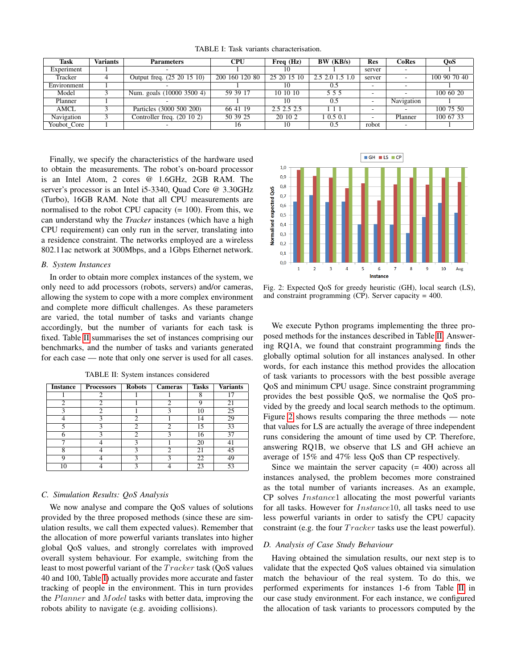<span id="page-5-1"></span>

| <b>Task</b> | <b>Variants</b> | <b>Parameters</b>            | <b>CPU</b>     | Freq $(Hz)$ | BW(KB/s)        | <b>Res</b> | <b>CoRes</b> | <b>QoS</b>   |
|-------------|-----------------|------------------------------|----------------|-------------|-----------------|------------|--------------|--------------|
| Experiment  |                 |                              |                | 10          |                 | server     |              |              |
| Tracker     |                 | Output freq. (25 20 15 10)   | 200 160 120 80 | 25 20 15 10 | 2.5 2.0 1.5 1.0 | server     |              | 100 90 70 40 |
| Environment |                 |                              |                | 10          | 0.5             |            |              |              |
| Model       |                 | Num. goals (10000 3500 4)    | 59 39 17       | 10 10 10    | 555             |            |              | 100 60 20    |
| Planner     |                 |                              |                | 10          | 0.5             |            | Navigation   |              |
| AMCL        |                 | Particles (3000 500 200)     | 66 41 19       | 2.52.52.5   | l 11            |            |              | 100 75 50    |
| Navigation  |                 | Controller freq. $(20 10 2)$ | 50 39 25       | 20 10 2     | 1 0.5 0.1       |            | Planner      | 100 67 33    |
| Youbot Core |                 |                              | 16             | 10          | 0.5             | robot      |              |              |

TABLE I: Task variants characterisation.

Finally, we specify the characteristics of the hardware used to obtain the measurements. The robot's on-board processor is an Intel Atom, 2 cores @ 1.6GHz, 2GB RAM. The server's processor is an Intel i5-3340, Quad Core @ 3.30GHz (Turbo), 16GB RAM. Note that all CPU measurements are normalised to the robot CPU capacity  $(= 100)$ . From this, we can understand why the *Tracker* instances (which have a high CPU requirement) can only run in the server, translating into a residence constraint. The networks employed are a wireless 802.11ac network at 300Mbps, and a 1Gbps Ethernet network.

## *B. System Instances*

In order to obtain more complex instances of the system, we only need to add processors (robots, servers) and/or cameras, allowing the system to cope with a more complex environment and complete more difficult challenges. As these parameters are varied, the total number of tasks and variants change accordingly, but the number of variants for each task is fixed. Table [II](#page-5-2) summarises the set of instances comprising our benchmarks, and the number of tasks and variants generated for each case — note that only one server is used for all cases.

<span id="page-5-2"></span>

| <b>Instance</b> | <b>Processors</b> | <b>Robots</b> | <b>Cameras</b> | <b>Tasks</b> | <b>Variants</b> |
|-----------------|-------------------|---------------|----------------|--------------|-----------------|
|                 |                   |               |                |              |                 |
| ◠               | า                 |               |                | Q            | 21              |
| 2               |                   |               |                | 10           | 25              |
|                 |                   |               |                | 14           | 29              |
|                 |                   |               |                | 15           | 33              |
|                 |                   |               |                | 16           | 37              |
|                 |                   |               |                | 20           | 41              |
| 8               |                   |               |                | 21           | 45              |
| Q               |                   |               |                | 22           | 49              |
| 10              |                   |               |                | 23           | 53              |

TABLE II: System instances considered

### <span id="page-5-0"></span>*C. Simulation Results: QoS Analysis*

We now analyse and compare the QoS values of solutions provided by the three proposed methods (since these are simulation results, we call them expected values). Remember that the allocation of more powerful variants translates into higher global QoS values, and strongly correlates with improved overall system behaviour. For example, switching from the least to most powerful variant of the *Tracker* task (QoS values 40 and 100, Table [I\)](#page-5-1) actually provides more accurate and faster tracking of people in the environment. This in turn provides the Planner and Model tasks with better data, improving the robots ability to navigate (e.g. avoiding collisions).

<span id="page-5-3"></span>

Fig. 2: Expected QoS for greedy heuristic (GH), local search (LS), and constraint programming (CP). Server capacity = 400.

We execute Python programs implementing the three proposed methods for the instances described in Table [II.](#page-5-2) Answering RQ1A, we found that constraint programming finds the globally optimal solution for all instances analysed. In other words, for each instance this method provides the allocation of task variants to processors with the best possible average QoS and minimum CPU usage. Since constraint programming provides the best possible QoS, we normalise the QoS provided by the greedy and local search methods to the optimum. Figure [2](#page-5-3) shows results comparing the three methods — note that values for LS are actually the average of three independent runs considering the amount of time used by CP. Therefore, answering RQ1B, we observe that LS and GH achieve an average of 15% and 47% less QoS than CP respectively.

Since we maintain the server capacity  $(= 400)$  across all instances analysed, the problem becomes more constrained as the total number of variants increases. As an example, CP solves Instance1 allocating the most powerful variants for all tasks. However for Instance10, all tasks need to use less powerful variants in order to satisfy the CPU capacity constraint (e.g. the four *Tracker* tasks use the least powerful).

## *D. Analysis of Case Study Behaviour*

Having obtained the simulation results, our next step is to validate that the expected QoS values obtained via simulation match the behaviour of the real system. To do this, we performed experiments for instances 1-6 from Table [II](#page-5-2) in our case study environment. For each instance, we configured the allocation of task variants to processors computed by the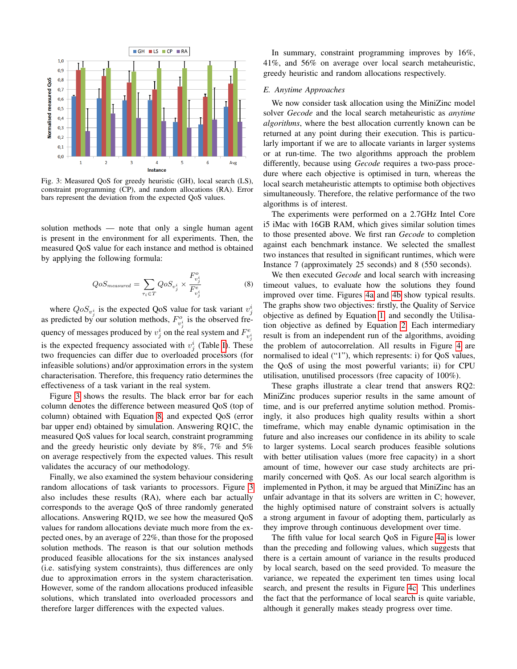<span id="page-6-1"></span>

Fig. 3: Measured QoS for greedy heuristic (GH), local search (LS), constraint programming (CP), and random allocations (RA). Error bars represent the deviation from the expected QoS values.

<span id="page-6-2"></span>solution methods — note that only a single human agent is present in the environment for all experiments. Then, the measured QoS value for each instance and method is obtained by applying the following formula:

$$
QoS_{measured} = \sum_{\tau_i \in T} QoS_{v_j^i} \times \frac{F_{v_j^i}^o}{F_{v_j^i}^e}
$$
 (8)

where  $QoS_{v_j^i}$  is the expected QoS value for task variant  $v_j^i$ as predicted by our solution methods,  $F_{v_j^s}^o$  is the observed frequency of messages produced by  $v_j^i$  on the real system and  $F_{v_j^i}^e$ is the expected frequency associated with  $v_j^i$  (Table [I\)](#page-5-1). These two frequencies can differ due to overloaded processors (for infeasible solutions) and/or approximation errors in the system characterisation. Therefore, this frequency ratio determines the effectiveness of a task variant in the real system.

Figure [3](#page-6-1) shows the results. The black error bar for each column denotes the difference between measured QoS (top of column) obtained with Equation [8,](#page-6-2) and expected QoS (error bar upper end) obtained by simulation. Answering RQ1C, the measured QoS values for local search, constraint programming and the greedy heuristic only deviate by 8%, 7% and 5% on average respectively from the expected values. This result validates the accuracy of our methodology.

Finally, we also examined the system behaviour considering random allocations of task variants to processors. Figure [3](#page-6-1) also includes these results (RA), where each bar actually corresponds to the average QoS of three randomly generated allocations. Answering RQ1D, we see how the measured QoS values for random allocations deviate much more from the expected ones, by an average of 22%, than those for the proposed solution methods. The reason is that our solution methods produced feasible allocations for the six instances analysed (i.e. satisfying system constraints), thus differences are only due to approximation errors in the system characterisation. However, some of the random allocations produced infeasible solutions, which translated into overloaded processors and therefore larger differences with the expected values.

In summary, constraint programming improves by  $16\%$ , 41%, and 56% on average over local search metaheuristic, greedy heuristic and random allocations respectively.

## <span id="page-6-0"></span>*E. Anytime Approaches*

We now consider task allocation using the MiniZinc model solver *Gecode* and the local search metaheuristic as *anytime algorithms*, where the best allocation currently known can be returned at any point during their execution. This is particularly important if we are to allocate variants in larger systems or at run-time. The two algorithms approach the problem differently, because using *Gecode* requires a two-pass procedure where each objective is optimised in turn, whereas the local search metaheuristic attempts to optimise both objectives simultaneously. Therefore, the relative performance of the two algorithms is of interest.

The experiments were performed on a 2.7GHz Intel Core i5 iMac with 16GB RAM, which gives similar solution times to those presented above. We first ran *Gecode* to completion against each benchmark instance. We selected the smallest two instances that resulted in significant runtimes, which were Instance 7 (approximately 25 seconds) and 8 (550 seconds).

We then executed *Gecode* and local search with increasing timeout values, to evaluate how the solutions they found improved over time. Figures [4a](#page-7-0) and [4b](#page-7-0) show typical results. The graphs show two objectives: firstly, the Quality of Service objective as defined by Equation [1,](#page-1-3) and secondly the Utilisation objective as defined by Equation [2.](#page-1-4) Each intermediary result is from an independent run of the algorithms, avoiding the problem of autocorrelation. All results in Figure [4](#page-7-0) are normalised to ideal ("1"), which represents: i) for QoS values, the QoS of using the most powerful variants; ii) for CPU utilisation, unutilised processors (free capacity of 100%).

These graphs illustrate a clear trend that answers RQ2: MiniZinc produces superior results in the same amount of time, and is our preferred anytime solution method. Promisingly, it also produces high quality results within a short timeframe, which may enable dynamic optimisation in the future and also increases our confidence in its ability to scale to larger systems. Local search produces feasible solutions with better utilisation values (more free capacity) in a short amount of time, however our case study architects are primarily concerned with QoS. As our local search algorithm is implemented in Python, it may be argued that MiniZinc has an unfair advantage in that its solvers are written in C; however, the highly optimised nature of constraint solvers is actually a strong argument in favour of adopting them, particularly as they improve through continuous development over time.

The fifth value for local search QoS in Figure [4a](#page-7-0) is lower than the preceding and following values, which suggests that there is a certain amount of variance in the results produced by local search, based on the seed provided. To measure the variance, we repeated the experiment ten times using local search, and present the results in Figure [4c.](#page-7-0) This underlines the fact that the performance of local search is quite variable, although it generally makes steady progress over time.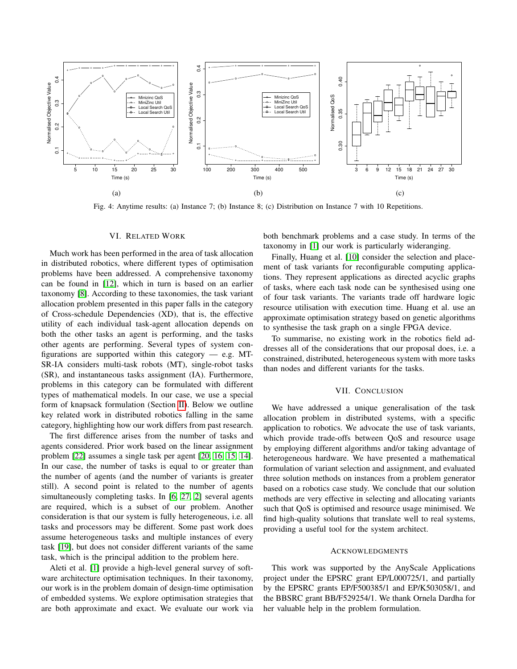<span id="page-7-0"></span>

Fig. 4: Anytime results: (a) Instance 7; (b) Instance 8; (c) Distribution on Instance 7 with 10 Repetitions.

## VI. RELATED WORK

Much work has been performed in the area of task allocation in distributed robotics, where different types of optimisation problems have been addressed. A comprehensive taxonomy can be found in [\[12\]](#page-8-15), which in turn is based on an earlier taxonomy [\[8\]](#page-8-16). According to these taxonomies, the task variant allocation problem presented in this paper falls in the category of Cross-schedule Dependencies (XD), that is, the effective utility of each individual task-agent allocation depends on both the other tasks an agent is performing, and the tasks other agents are performing. Several types of system configurations are supported within this category  $-$  e.g. MT-SR-IA considers multi-task robots (MT), single-robot tasks (SR), and instantaneous tasks assignment (IA). Furthermore, problems in this category can be formulated with different types of mathematical models. In our case, we use a special form of knapsack formulation (Section [II\)](#page-1-5). Below we outline key related work in distributed robotics falling in the same category, highlighting how our work differs from past research.

The first difference arises from the number of tasks and agents considered. Prior work based on the linear assignment problem [\[22\]](#page-8-17) assumes a single task per agent [\[20,](#page-8-18) [16,](#page-8-19) [15,](#page-8-20) [14\]](#page-8-1). In our case, the number of tasks is equal to or greater than the number of agents (and the number of variants is greater still). A second point is related to the number of agents simultaneously completing tasks. In [\[6,](#page-8-21) [27,](#page-8-22) [2\]](#page-8-23) several agents are required, which is a subset of our problem. Another consideration is that our system is fully heterogeneous, i.e. all tasks and processors may be different. Some past work does assume heterogeneous tasks and multiple instances of every task [\[19\]](#page-8-24), but does not consider different variants of the same task, which is the principal addition to the problem here.

Aleti et al. [\[1\]](#page-8-25) provide a high-level general survey of software architecture optimisation techniques. In their taxonomy, our work is in the problem domain of design-time optimisation of embedded systems. We explore optimisation strategies that are both approximate and exact. We evaluate our work via both benchmark problems and a case study. In terms of the taxonomy in [\[1\]](#page-8-25) our work is particularly wideranging.

Finally, Huang et al. [\[10\]](#page-8-26) consider the selection and placement of task variants for reconfigurable computing applications. They represent applications as directed acyclic graphs of tasks, where each task node can be synthesised using one of four task variants. The variants trade off hardware logic resource utilisation with execution time. Huang et al. use an approximate optimisation strategy based on genetic algorithms to synthesise the task graph on a single FPGA device.

To summarise, no existing work in the robotics field addresses all of the considerations that our proposal does, i.e. a constrained, distributed, heterogeneous system with more tasks than nodes and different variants for the tasks.

# VII. CONCLUSION

We have addressed a unique generalisation of the task allocation problem in distributed systems, with a specific application to robotics. We advocate the use of task variants, which provide trade-offs between QoS and resource usage by employing different algorithms and/or taking advantage of heterogeneous hardware. We have presented a mathematical formulation of variant selection and assignment, and evaluated three solution methods on instances from a problem generator based on a robotics case study. We conclude that our solution methods are very effective in selecting and allocating variants such that QoS is optimised and resource usage minimised. We find high-quality solutions that translate well to real systems, providing a useful tool for the system architect.

## ACKNOWLEDGMENTS

This work was supported by the AnyScale Applications project under the EPSRC grant EP/L000725/1, and partially by the EPSRC grants EP/F500385/1 and EP/K503058/1, and the BBSRC grant BB/F529254/1. We thank Ornela Dardha for her valuable help in the problem formulation.